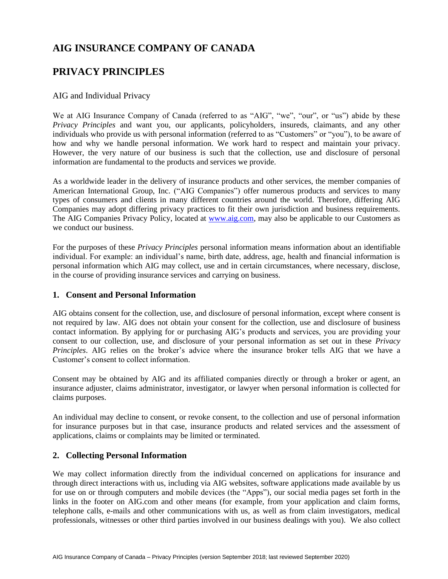# **AIG INSURANCE COMPANY OF CANADA**

# **PRIVACY PRINCIPLES**

#### AIG and Individual Privacy

We at AIG Insurance Company of Canada (referred to as "AIG", "we", "our", or "us") abide by these *Privacy Principles* and want you, our applicants, policyholders, insureds, claimants, and any other individuals who provide us with personal information (referred to as "Customers" or "you"), to be aware of how and why we handle personal information. We work hard to respect and maintain your privacy. However, the very nature of our business is such that the collection, use and disclosure of personal information are fundamental to the products and services we provide.

As a worldwide leader in the delivery of insurance products and other services, the member companies of American International Group, Inc. ("AIG Companies") offer numerous products and services to many types of consumers and clients in many different countries around the world. Therefore, differing AIG Companies may adopt differing privacy practices to fit their own jurisdiction and business requirements. The AIG Companies Privacy Policy, located at [www.aig.com,](http://www.aig.com/) may also be applicable to our Customers as we conduct our business.

For the purposes of these *Privacy Principles* personal information means information about an identifiable individual. For example: an individual's name, birth date, address, age, health and financial information is personal information which AIG may collect, use and in certain circumstances, where necessary, disclose, in the course of providing insurance services and carrying on business.

#### **1. Consent and Personal Information**

AIG obtains consent for the collection, use, and disclosure of personal information, except where consent is not required by law. AIG does not obtain your consent for the collection, use and disclosure of business contact information. By applying for or purchasing AIG's products and services, you are providing your consent to our collection, use, and disclosure of your personal information as set out in these *Privacy Principles*. AIG relies on the broker's advice where the insurance broker tells AIG that we have a Customer's consent to collect information.

Consent may be obtained by AIG and its affiliated companies directly or through a broker or agent, an insurance adjuster, claims administrator, investigator, or lawyer when personal information is collected for claims purposes.

An individual may decline to consent, or revoke consent, to the collection and use of personal information for insurance purposes but in that case, insurance products and related services and the assessment of applications, claims or complaints may be limited or terminated.

#### **2. Collecting Personal Information**

We may collect information directly from the individual concerned on applications for insurance and through direct interactions with us, including via AIG websites, software applications made available by us for use on or through computers and mobile devices (the "Apps"), our social media pages set forth in the links in the footer on AIG.com and other means (for example, from your application and claim forms, telephone calls, e-mails and other communications with us, as well as from claim investigators, medical professionals, witnesses or other third parties involved in our business dealings with you). We also collect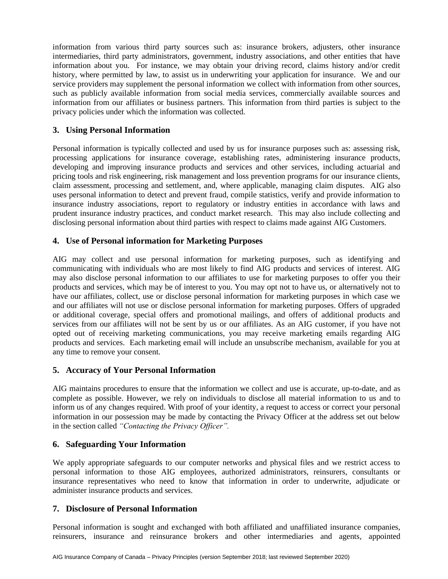information from various third party sources such as: insurance brokers, adjusters, other insurance intermediaries, third party administrators, government, industry associations, and other entities that have information about you. For instance, we may obtain your driving record, claims history and/or credit history, where permitted by law, to assist us in underwriting your application for insurance. We and our service providers may supplement the personal information we collect with information from other sources, such as publicly available information from social media services, commercially available sources and information from our affiliates or business partners. This information from third parties is subject to the privacy policies under which the information was collected.

### **3. Using Personal Information**

Personal information is typically collected and used by us for insurance purposes such as: assessing risk, processing applications for insurance coverage, establishing rates, administering insurance products, developing and improving insurance products and services and other services, including actuarial and pricing tools and risk engineering, risk management and loss prevention programs for our insurance clients, claim assessment, processing and settlement, and, where applicable, managing claim disputes. AIG also uses personal information to detect and prevent fraud, compile statistics, verify and provide information to insurance industry associations, report to regulatory or industry entities in accordance with laws and prudent insurance industry practices, and conduct market research. This may also include collecting and disclosing personal information about third parties with respect to claims made against AIG Customers.

#### **4. Use of Personal information for Marketing Purposes**

AIG may collect and use personal information for marketing purposes, such as identifying and communicating with individuals who are most likely to find AIG products and services of interest. AIG may also disclose personal information to our affiliates to use for marketing purposes to offer you their products and services, which may be of interest to you. You may opt not to have us, or alternatively not to have our affiliates, collect, use or disclose personal information for marketing purposes in which case we and our affiliates will not use or disclose personal information for marketing purposes. Offers of upgraded or additional coverage, special offers and promotional mailings, and offers of additional products and services from our affiliates will not be sent by us or our affiliates. As an AIG customer, if you have not opted out of receiving marketing communications, you may receive marketing emails regarding AIG products and services. Each marketing email will include an unsubscribe mechanism, available for you at any time to remove your consent.

#### **5. Accuracy of Your Personal Information**

AIG maintains procedures to ensure that the information we collect and use is accurate, up-to-date, and as complete as possible. However, we rely on individuals to disclose all material information to us and to inform us of any changes required. With proof of your identity, a request to access or correct your personal information in our possession may be made by contacting the Privacy Officer at the address set out below in the section called *"Contacting the Privacy Officer".*

#### **6. Safeguarding Your Information**

We apply appropriate safeguards to our computer networks and physical files and we restrict access to personal information to those AIG employees, authorized administrators, reinsurers, consultants or insurance representatives who need to know that information in order to underwrite, adjudicate or administer insurance products and services.

#### **7. Disclosure of Personal Information**

Personal information is sought and exchanged with both affiliated and unaffiliated insurance companies, reinsurers, insurance and reinsurance brokers and other intermediaries and agents, appointed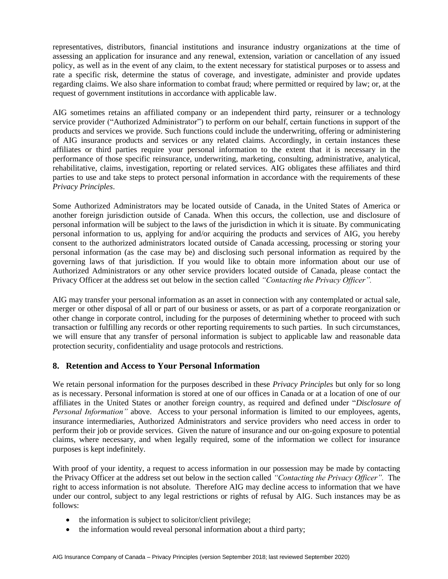representatives, distributors, financial institutions and insurance industry organizations at the time of assessing an application for insurance and any renewal, extension, variation or cancellation of any issued policy, as well as in the event of any claim, to the extent necessary for statistical purposes or to assess and rate a specific risk, determine the status of coverage, and investigate, administer and provide updates regarding claims. We also share information to combat fraud; where permitted or required by law; or, at the request of government institutions in accordance with applicable law.

AIG sometimes retains an affiliated company or an independent third party, reinsurer or a technology service provider ("Authorized Administrator") to perform on our behalf, certain functions in support of the products and services we provide. Such functions could include the underwriting, offering or administering of AIG insurance products and services or any related claims. Accordingly, in certain instances these affiliates or third parties require your personal information to the extent that it is necessary in the performance of those specific reinsurance, underwriting, marketing, consulting, administrative, analytical, rehabilitative, claims, investigation, reporting or related services. AIG obligates these affiliates and third parties to use and take steps to protect personal information in accordance with the requirements of these *Privacy Principles*.

Some Authorized Administrators may be located outside of Canada, in the United States of America or another foreign jurisdiction outside of Canada. When this occurs, the collection, use and disclosure of personal information will be subject to the laws of the jurisdiction in which it is situate. By communicating personal information to us, applying for and/or acquiring the products and services of AIG, you hereby consent to the authorized administrators located outside of Canada accessing, processing or storing your personal information (as the case may be) and disclosing such personal information as required by the governing laws of that jurisdiction. If you would like to obtain more information about our use of Authorized Administrators or any other service providers located outside of Canada, please contact the Privacy Officer at the address set out below in the section called *"Contacting the Privacy Officer".*

AIG may transfer your personal information as an asset in connection with any contemplated or actual sale, merger or other disposal of all or part of our business or assets, or as part of a corporate reorganization or other change in corporate control, including for the purposes of determining whether to proceed with such transaction or fulfilling any records or other reporting requirements to such parties. In such circumstances, we will ensure that any transfer of personal information is subject to applicable law and reasonable data protection security, confidentiality and usage protocols and restrictions.

#### **8. Retention and Access to Your Personal Information**

We retain personal information for the purposes described in these *Privacy Principles* but only for so long as is necessary. Personal information is stored at one of our offices in Canada or at a location of one of our affiliates in the United States or another foreign country, as required and defined under "*Disclosure of Personal Information"* above. Access to your personal information is limited to our employees, agents, insurance intermediaries, Authorized Administrators and service providers who need access in order to perform their job or provide services. Given the nature of insurance and our on-going exposure to potential claims, where necessary, and when legally required, some of the information we collect for insurance purposes is kept indefinitely.

With proof of your identity, a request to access information in our possession may be made by contacting the Privacy Officer at the address set out below in the section called *"Contacting the Privacy Officer".* The right to access information is not absolute. Therefore AIG may decline access to information that we have under our control, subject to any legal restrictions or rights of refusal by AIG. Such instances may be as follows:

- the information is subject to solicitor/client privilege;
- the information would reveal personal information about a third party;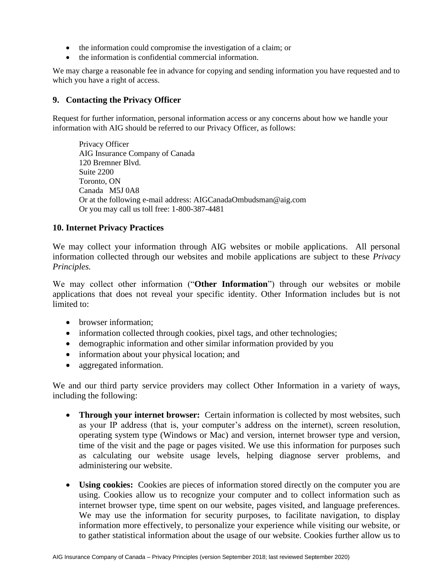- the information could compromise the investigation of a claim; or
- the information is confidential commercial information.

We may charge a reasonable fee in advance for copying and sending information you have requested and to which you have a right of access.

### **9. Contacting the Privacy Officer**

Request for further information, personal information access or any concerns about how we handle your information with AIG should be referred to our Privacy Officer, as follows:

Privacy Officer AIG Insurance Company of Canada 120 Bremner Blvd. Suite 2200 Toronto, ON Canada M5J 0A8 Or at the following e-mail address: AIGCanadaOmbudsman@aig.com Or you may call us toll free: 1-800-387-4481

#### **10. Internet Privacy Practices**

We may collect your information through AIG websites or mobile applications. All personal information collected through our websites and mobile applications are subject to these *Privacy Principles.* 

We may collect other information ("**Other Information**") through our websites or mobile applications that does not reveal your specific identity. Other Information includes but is not limited to:

- browser information:
- information collected through cookies, pixel tags, and other technologies;
- demographic information and other similar information provided by you
- information about your physical location; and
- aggregated information.

We and our third party service providers may collect Other Information in a variety of ways, including the following:

- **Through your internet browser:** Certain information is collected by most websites, such as your IP address (that is, your computer's address on the internet), screen resolution, operating system type (Windows or Mac) and version, internet browser type and version, time of the visit and the page or pages visited. We use this information for purposes such as calculating our website usage levels, helping diagnose server problems, and administering our website.
- **Using cookies:** Cookies are pieces of information stored directly on the computer you are using. Cookies allow us to recognize your computer and to collect information such as internet browser type, time spent on our website, pages visited, and language preferences. We may use the information for security purposes, to facilitate navigation, to display information more effectively, to personalize your experience while visiting our website, or to gather statistical information about the usage of our website. Cookies further allow us to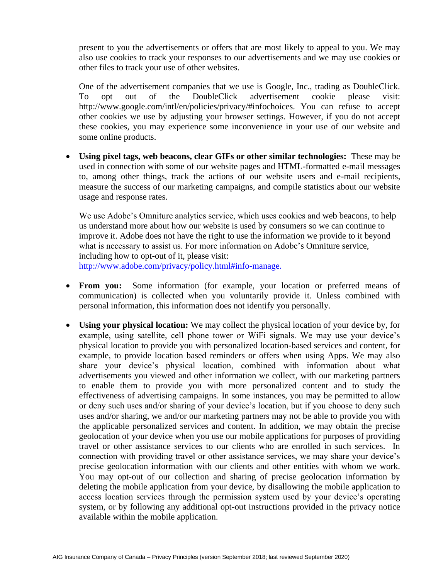present to you the advertisements or offers that are most likely to appeal to you. We may also use cookies to track your responses to our advertisements and we may use cookies or other files to track your use of other websites.

One of the advertisement companies that we use is Google, Inc., trading as DoubleClick. To opt out of the DoubleClick advertisement cookie please visit: http://www.google.com/intl/en/policies/privacy/#infochoices. You can refuse to accept other cookies we use by adjusting your browser settings. However, if you do not accept these cookies, you may experience some inconvenience in your use of our website and some online products.

• **Using pixel tags, web beacons, clear GIFs or other similar technologies:** These may be used in connection with some of our website pages and HTML-formatted e-mail messages to, among other things, track the actions of our website users and e-mail recipients, measure the success of our marketing campaigns, and compile statistics about our website usage and response rates.

We use Adobe's Omniture analytics service, which uses cookies and web beacons, to help us understand more about how our website is used by consumers so we can continue to improve it. Adobe does not have the right to use the information we provide to it beyond what is necessary to assist us. For more information on Adobe's Omniture service, including how to opt-out of it, please visit: [http://www.adobe.com/privacy/policy.html#info-manage.](http://www.adobe.com/privacy/policy.html#info-manage. ) 

- **From you:** Some information (for example, your location or preferred means of communication) is collected when you voluntarily provide it. Unless combined with personal information, this information does not identify you personally.
- **Using your physical location:** We may collect the physical location of your device by, for example, using satellite, cell phone tower or WiFi signals. We may use your device's physical location to provide you with personalized location-based services and content, for example, to provide location based reminders or offers when using Apps. We may also share your device's physical location, combined with information about what advertisements you viewed and other information we collect, with our marketing partners to enable them to provide you with more personalized content and to study the effectiveness of advertising campaigns. In some instances, you may be permitted to allow or deny such uses and/or sharing of your device's location, but if you choose to deny such uses and/or sharing, we and/or our marketing partners may not be able to provide you with the applicable personalized services and content. In addition, we may obtain the precise geolocation of your device when you use our mobile applications for purposes of providing travel or other assistance services to our clients who are enrolled in such services. In connection with providing travel or other assistance services, we may share your device's precise geolocation information with our clients and other entities with whom we work. You may opt-out of our collection and sharing of precise geolocation information by deleting the mobile application from your device, by disallowing the mobile application to access location services through the permission system used by your device's operating system, or by following any additional opt-out instructions provided in the privacy notice available within the mobile application.